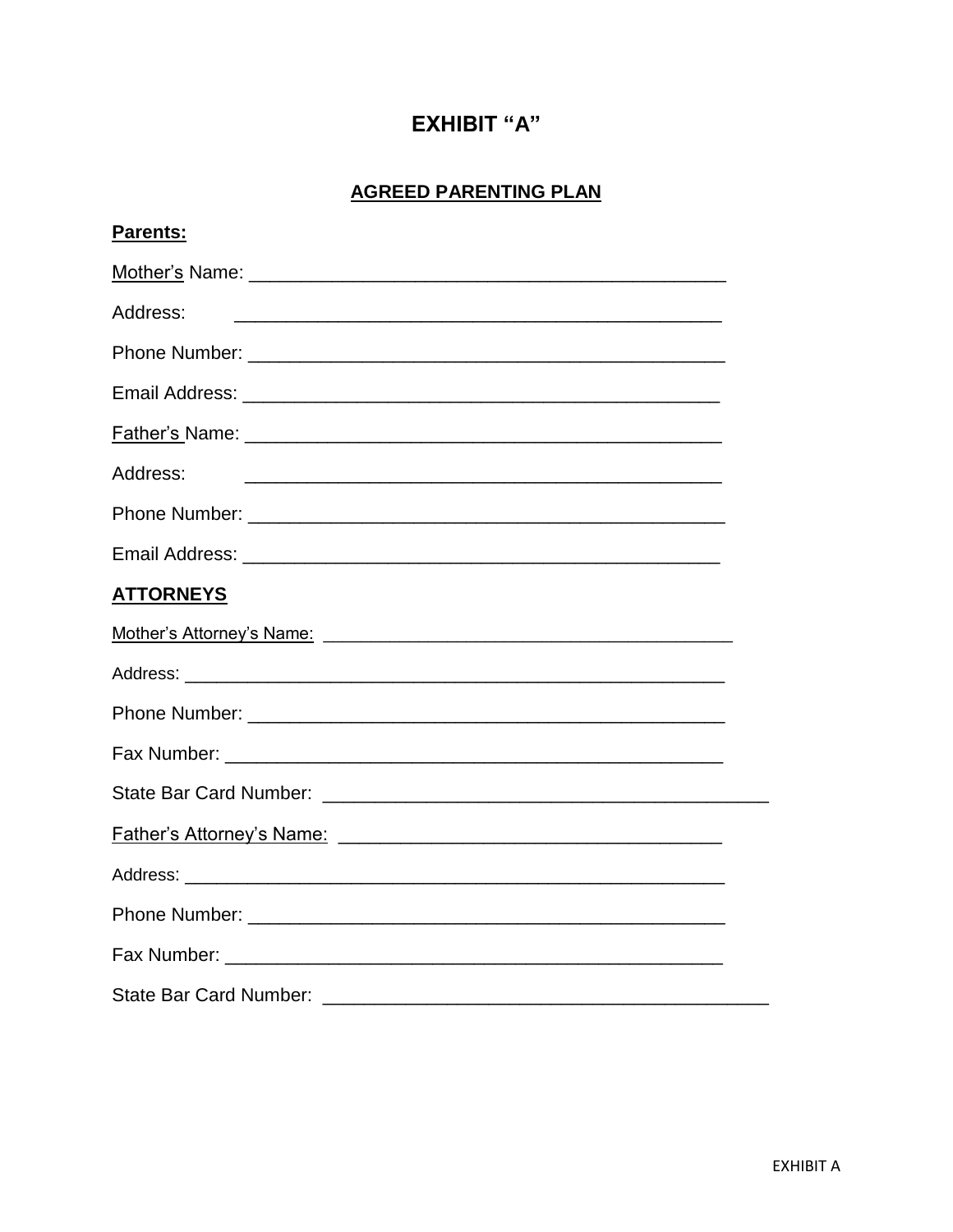# **EXHIBIT "A"**

# **AGREED PARENTING PLAN**

| Parents:                                                                                                                         |  |
|----------------------------------------------------------------------------------------------------------------------------------|--|
|                                                                                                                                  |  |
| Address:<br><u> 1989 - Johann John Stone, mars et al. 1989 - John Stone, mars et al. 1989 - John Stone, mars et al. 1989 - J</u> |  |
|                                                                                                                                  |  |
|                                                                                                                                  |  |
|                                                                                                                                  |  |
| Address:                                                                                                                         |  |
|                                                                                                                                  |  |
|                                                                                                                                  |  |
| <b>ATTORNEYS</b>                                                                                                                 |  |
|                                                                                                                                  |  |
|                                                                                                                                  |  |
|                                                                                                                                  |  |
|                                                                                                                                  |  |
|                                                                                                                                  |  |
|                                                                                                                                  |  |
|                                                                                                                                  |  |
|                                                                                                                                  |  |
|                                                                                                                                  |  |
| <b>State Bar Card Number:</b>                                                                                                    |  |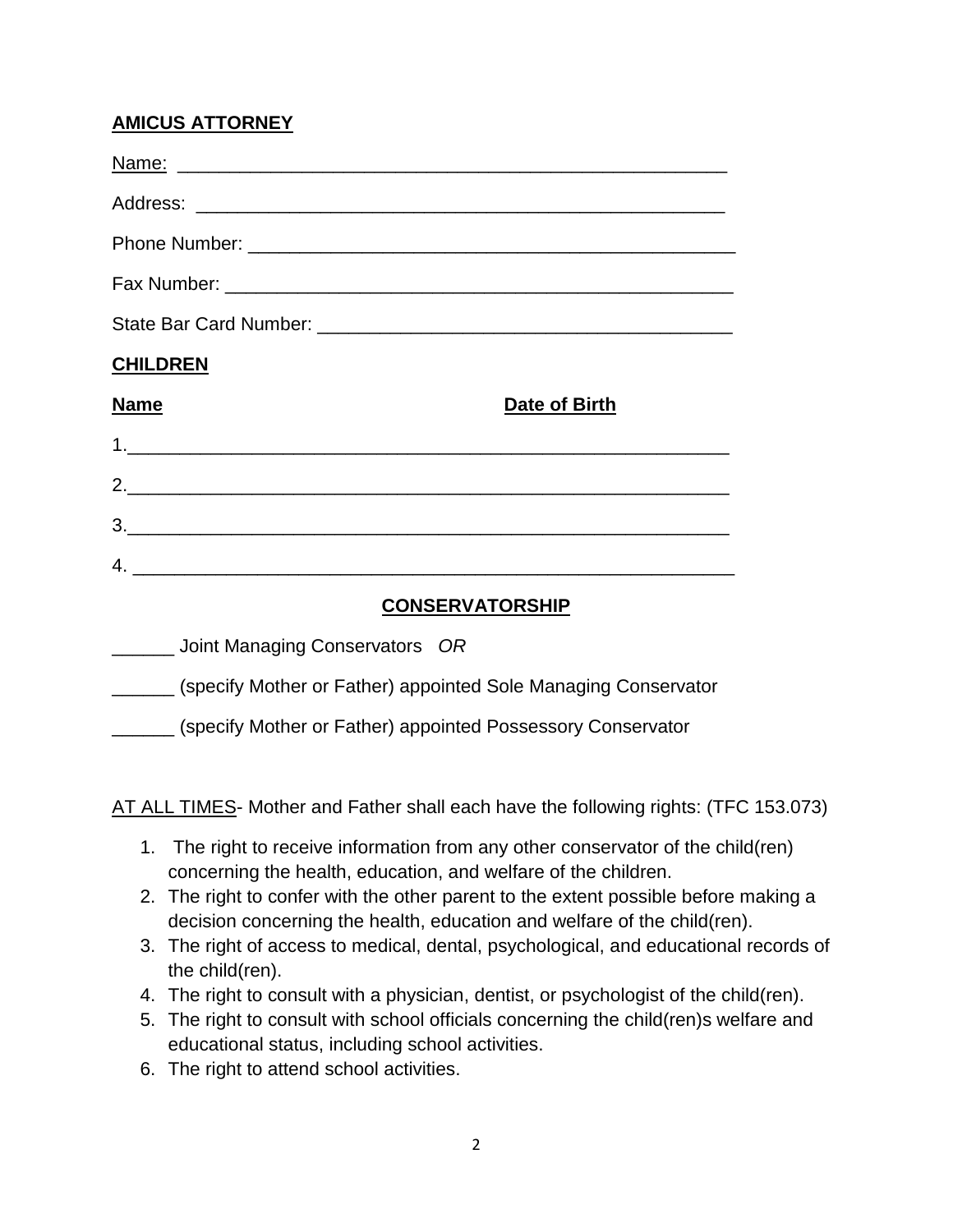### **AMICUS ATTORNEY**

| <b>CHILDREN</b>                               |                        |
|-----------------------------------------------|------------------------|
| <b>Name</b>                                   | Date of Birth          |
|                                               |                        |
|                                               |                        |
|                                               |                        |
|                                               |                        |
|                                               | <b>CONSERVATORSHIP</b> |
| $Point$ Managing Conservators $\overline{OR}$ |                        |

| Joint Managing Conservators OR                                 |
|----------------------------------------------------------------|
| (specify Mother or Father) appointed Sole Managing Conservator |
| (specify Mother or Father) appointed Possessory Conservator    |

AT ALL TIMES- Mother and Father shall each have the following rights: (TFC 153.073)

- 1. The right to receive information from any other conservator of the child(ren) concerning the health, education, and welfare of the children.
- 2. The right to confer with the other parent to the extent possible before making a decision concerning the health, education and welfare of the child(ren).
- 3. The right of access to medical, dental, psychological, and educational records of the child(ren).
- 4. The right to consult with a physician, dentist, or psychologist of the child(ren).
- 5. The right to consult with school officials concerning the child(ren)s welfare and educational status, including school activities.
- 6. The right to attend school activities.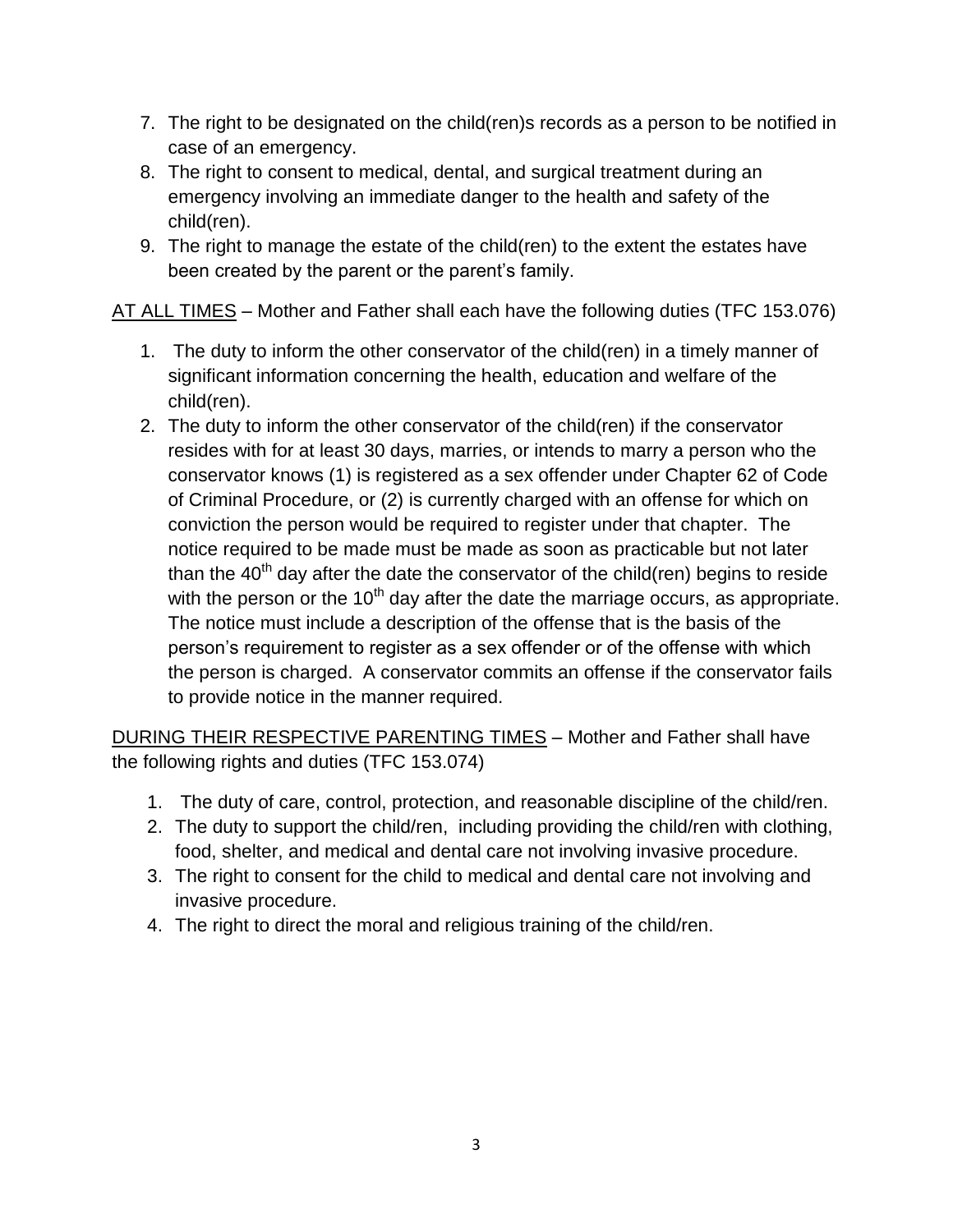- 7. The right to be designated on the child(ren)s records as a person to be notified in case of an emergency.
- 8. The right to consent to medical, dental, and surgical treatment during an emergency involving an immediate danger to the health and safety of the child(ren).
- 9. The right to manage the estate of the child(ren) to the extent the estates have been created by the parent or the parent's family.

AT ALL TIMES – Mother and Father shall each have the following duties (TFC 153.076)

- 1. The duty to inform the other conservator of the child(ren) in a timely manner of significant information concerning the health, education and welfare of the child(ren).
- 2. The duty to inform the other conservator of the child(ren) if the conservator resides with for at least 30 days, marries, or intends to marry a person who the conservator knows (1) is registered as a sex offender under Chapter 62 of Code of Criminal Procedure, or (2) is currently charged with an offense for which on conviction the person would be required to register under that chapter. The notice required to be made must be made as soon as practicable but not later than the  $40<sup>th</sup>$  day after the date the conservator of the child(ren) begins to reside with the person or the  $10<sup>th</sup>$  day after the date the marriage occurs, as appropriate. The notice must include a description of the offense that is the basis of the person's requirement to register as a sex offender or of the offense with which the person is charged. A conservator commits an offense if the conservator fails to provide notice in the manner required.

DURING THEIR RESPECTIVE PARENTING TIMES – Mother and Father shall have the following rights and duties (TFC 153.074)

- 1. The duty of care, control, protection, and reasonable discipline of the child/ren.
- 2. The duty to support the child/ren, including providing the child/ren with clothing, food, shelter, and medical and dental care not involving invasive procedure.
- 3. The right to consent for the child to medical and dental care not involving and invasive procedure.
- 4. The right to direct the moral and religious training of the child/ren.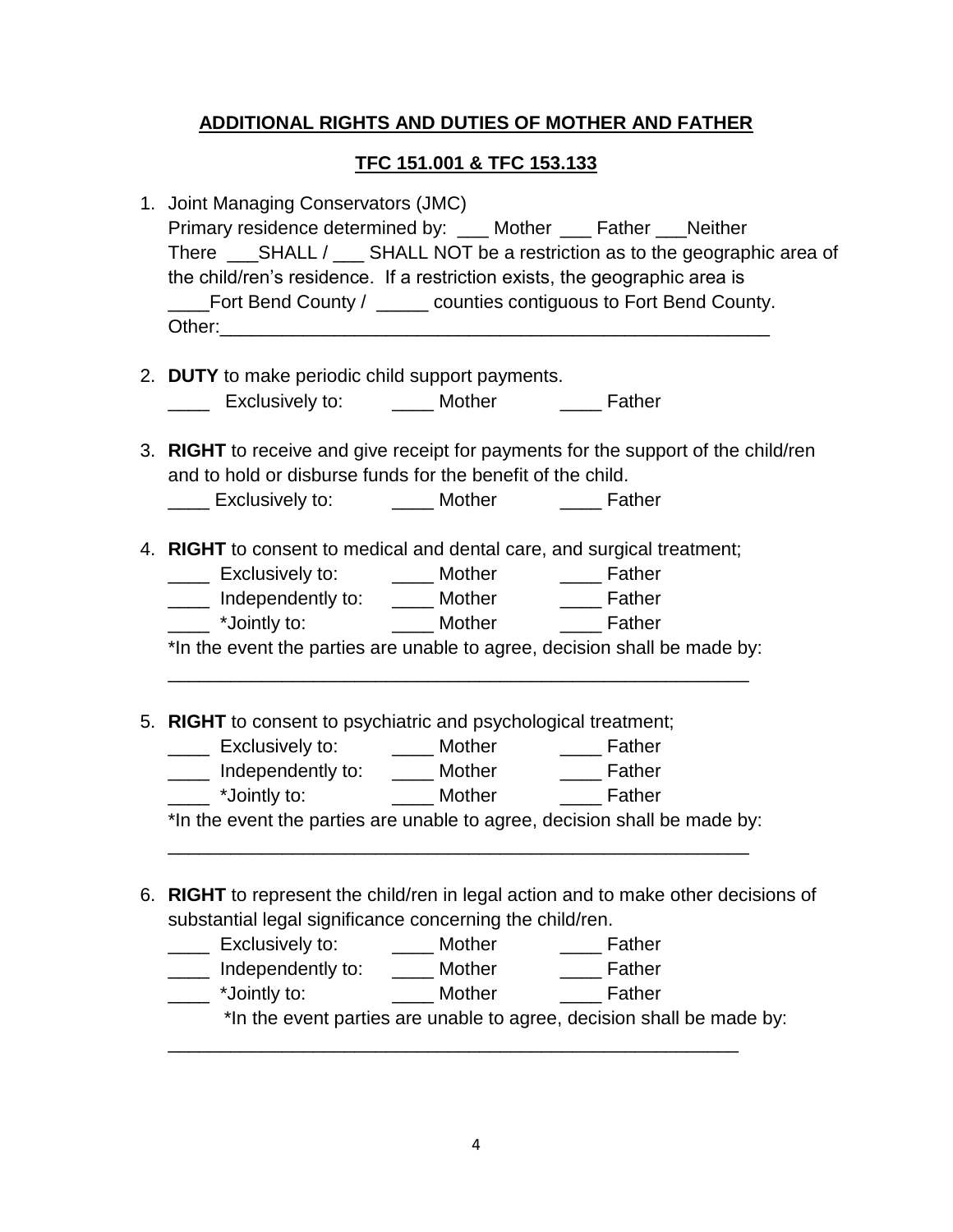### **ADDITIONAL RIGHTS AND DUTIES OF MOTHER AND FATHER**

#### **TFC 151.001 & TFC 153.133**

| 1. Joint Managing Conservators (JMC)<br>Primary residence determined by: ___ Mother ___ Father ___ Neither<br>the child/ren's residence. If a restriction exists, the geographic area is<br>____Fort Bend County / _____ counties contiguous to Fort Bend County. |  |  |  |
|-------------------------------------------------------------------------------------------------------------------------------------------------------------------------------------------------------------------------------------------------------------------|--|--|--|
| 2. DUTY to make periodic child support payments.                                                                                                                                                                                                                  |  |  |  |
| _____ Exclusively to: ______ Mother ______ Father                                                                                                                                                                                                                 |  |  |  |
| 3. RIGHT to receive and give receipt for payments for the support of the child/ren<br>and to hold or disburse funds for the benefit of the child.                                                                                                                 |  |  |  |
|                                                                                                                                                                                                                                                                   |  |  |  |
| 4. RIGHT to consent to medical and dental care, and surgical treatment;                                                                                                                                                                                           |  |  |  |
|                                                                                                                                                                                                                                                                   |  |  |  |
| _____ Independently to: _____ Mother ______ Father                                                                                                                                                                                                                |  |  |  |
| Lackson Mother Constants and Testing to: The Mother Constant Constant Constant Constant Constant Constant Const                                                                                                                                                   |  |  |  |
| *In the event the parties are unable to agree, decision shall be made by:                                                                                                                                                                                         |  |  |  |
| 5. RIGHT to consent to psychiatric and psychological treatment;                                                                                                                                                                                                   |  |  |  |
| _____ Exclusively to: ______ Mother ______ Father                                                                                                                                                                                                                 |  |  |  |
| _____ Independently to: _____ Mother ______ Father                                                                                                                                                                                                                |  |  |  |
| ____ *Jointly to: _________ Mother _______ Father                                                                                                                                                                                                                 |  |  |  |
| *In the event the parties are unable to agree, decision shall be made by:                                                                                                                                                                                         |  |  |  |
| 6. RIGHT to represent the child/ren in legal action and to make other decisions of                                                                                                                                                                                |  |  |  |
| substantial legal significance concerning the child/ren.                                                                                                                                                                                                          |  |  |  |
| Exclusively to:<br>_____ Mother _______ Father<br>$\mathcal{L}^{\text{max}}$                                                                                                                                                                                      |  |  |  |
| Independently to: _____ Mother ______ Father<br>$\overline{\phantom{a}}$                                                                                                                                                                                          |  |  |  |
| ____ *Jointly to: _________ Mother _______ Father<br>*In the event parties are unable to agree, decision shall be made by:                                                                                                                                        |  |  |  |
|                                                                                                                                                                                                                                                                   |  |  |  |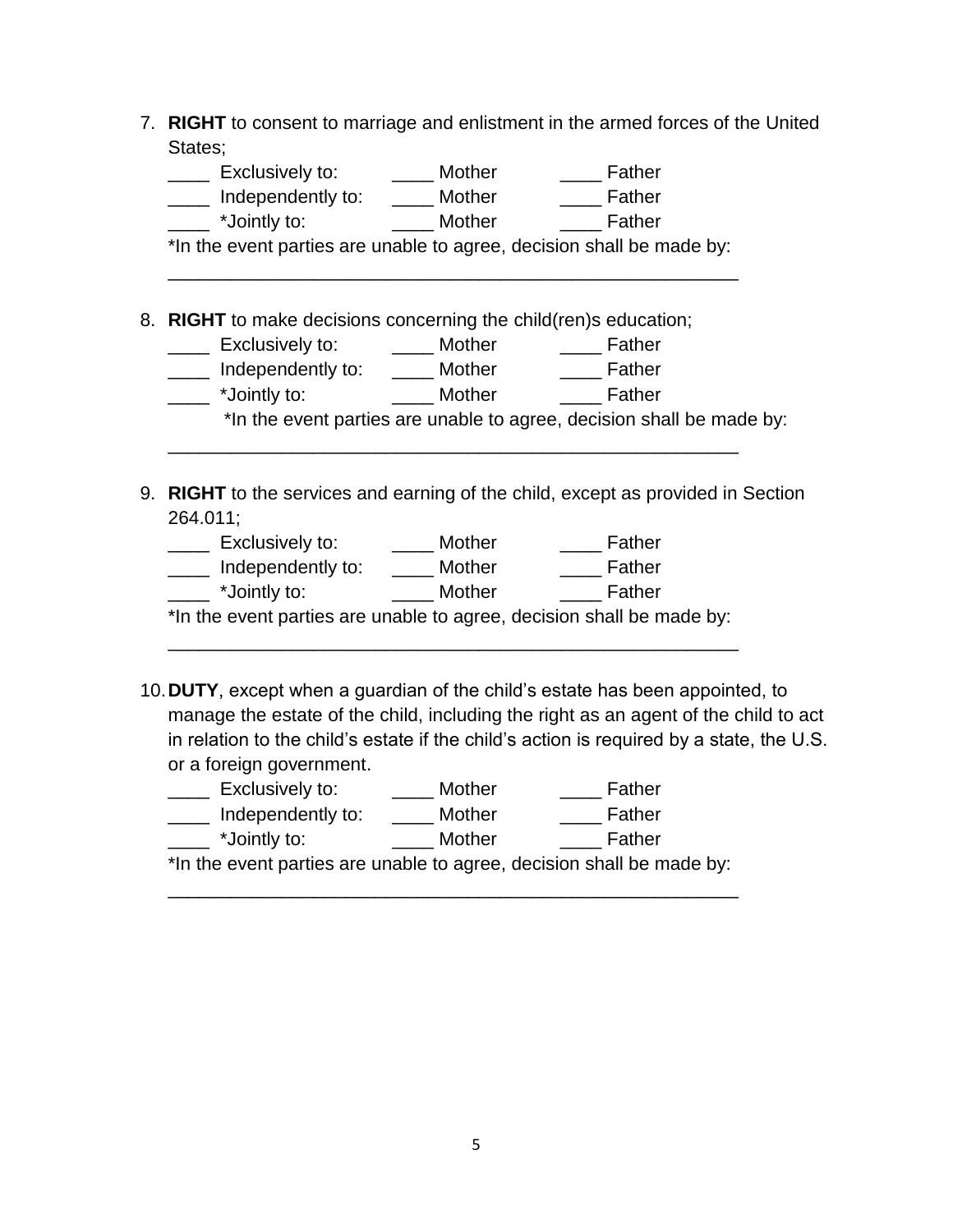7. **RIGHT** to consent to marriage and enlistment in the armed forces of the United States;

| Exclusively to:                                                       | <b>Mother</b> | Father                                                                |
|-----------------------------------------------------------------------|---------------|-----------------------------------------------------------------------|
| Independently to:                                                     | Mother        | Father                                                                |
| *Jointly to:                                                          | <b>Mother</b> | Father                                                                |
| *In the event parties are unable to agree, decision shall be made by: |               |                                                                       |
|                                                                       |               |                                                                       |
|                                                                       |               |                                                                       |
|                                                                       |               |                                                                       |
|                                                                       |               |                                                                       |
| Exclusively to:                                                       | Mother        | Father                                                                |
| Independently to:                                                     | Mother        | Father                                                                |
| *Jointly to:                                                          | Mother        | Father                                                                |
| 8. RIGHT to make decisions concerning the child(ren)s education;      |               | *In the event parties are unable to agree, decision shall be made by: |

9. **RIGHT** to the services and earning of the child, except as provided in Section 264.011;

| Exclusively to:                                                       | Mother | Father |
|-----------------------------------------------------------------------|--------|--------|
| Independently to:                                                     | Mother | Father |
| *Jointly to:                                                          | Mother | Father |
| *In the event parties are unable to agree, decision shall be made by: |        |        |

\_\_\_\_\_\_\_\_\_\_\_\_\_\_\_\_\_\_\_\_\_\_\_\_\_\_\_\_\_\_\_\_\_\_\_\_\_\_\_\_\_\_\_\_\_\_\_\_\_\_\_\_\_\_\_

10.**DUTY**, except when a guardian of the child's estate has been appointed, to manage the estate of the child, including the right as an agent of the child to act in relation to the child's estate if the child's action is required by a state, the U.S. or a foreign government.

| Exclusively to:   | Mother | Father |
|-------------------|--------|--------|
| Independently to: | Mother | Father |
| *Jointly to:      | Mother | Father |

\*In the event parties are unable to agree, decision shall be made by: \_\_\_\_\_\_\_\_\_\_\_\_\_\_\_\_\_\_\_\_\_\_\_\_\_\_\_\_\_\_\_\_\_\_\_\_\_\_\_\_\_\_\_\_\_\_\_\_\_\_\_\_\_\_\_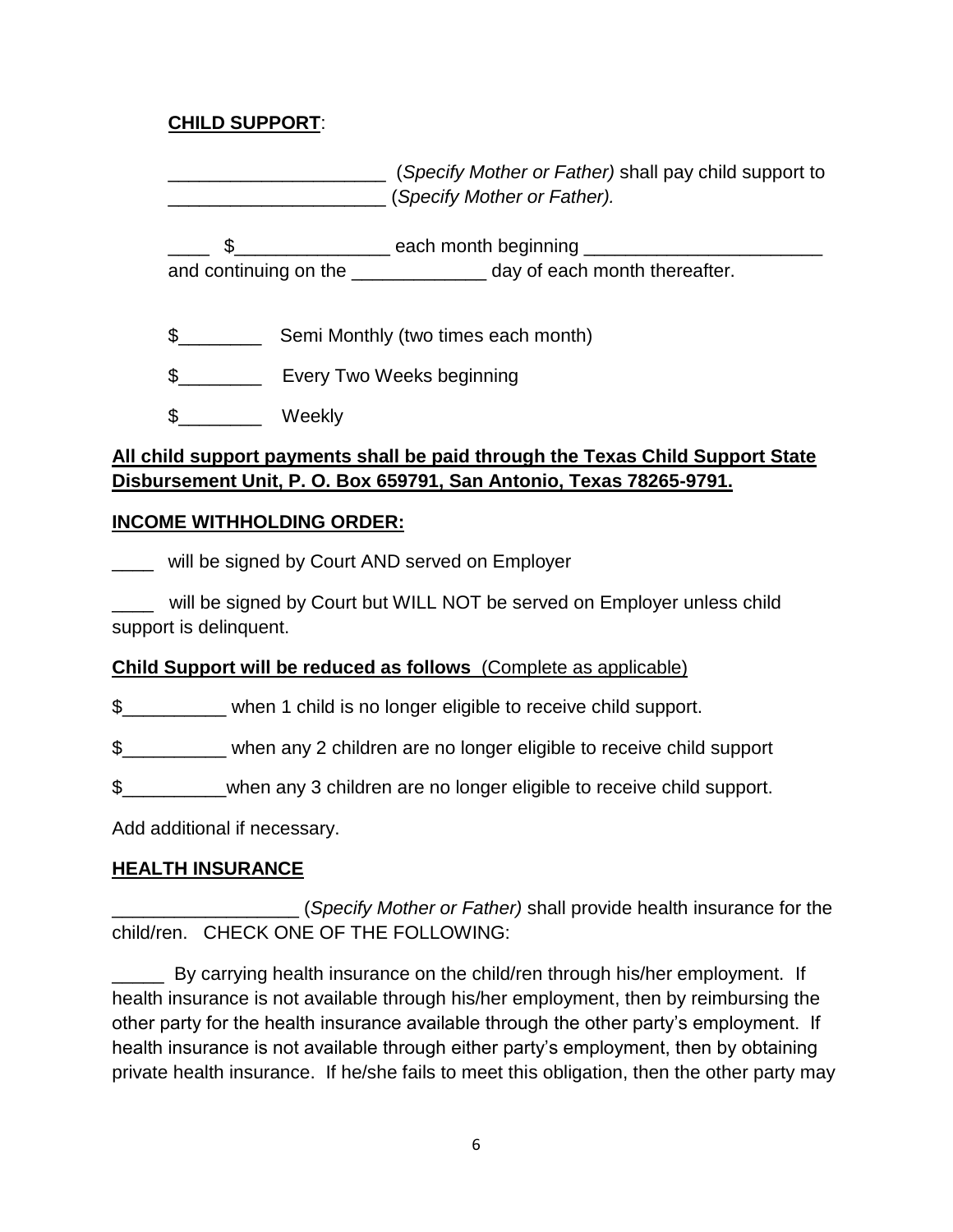#### **CHILD SUPPORT**:

\_\_\_\_\_\_\_\_\_\_\_\_\_\_\_\_\_\_\_\_\_ (*Specify Mother or Father)* shall pay child support to \_\_\_\_\_\_\_\_\_\_\_\_\_\_\_\_\_\_\_\_\_ (*Specify Mother or Father).*

**EXAMPLE 10** and the same of the same of the same of the same of the same of the same of the same of the same of the same of the same of the same of the same of the same of the same of the same of the same of the same of t and continuing on the \_\_\_\_\_\_\_\_\_\_\_\_\_\_\_\_ day of each month thereafter.

\$\_\_\_\_\_\_\_\_ Semi Monthly (two times each month)

\$\_\_\_\_\_\_\_\_\_\_\_\_ Every Two Weeks beginning

\$\_\_\_\_\_\_\_\_ Weekly

### **All child support payments shall be paid through the Texas Child Support State Disbursement Unit, P. O. Box 659791, San Antonio, Texas 78265-9791.**

#### **INCOME WITHHOLDING ORDER:**

**WHILT** will be signed by Court AND served on Employer

\_\_\_\_ will be signed by Court but WILL NOT be served on Employer unless child support is delinquent.

### **Child Support will be reduced as follows** (Complete as applicable)

\$\_\_\_\_\_\_\_\_\_\_ when 1 child is no longer eligible to receive child support.

\$\_\_\_\_\_\_\_\_\_\_ when any 2 children are no longer eligible to receive child support

\$\_\_\_\_\_\_\_\_\_\_when any 3 children are no longer eligible to receive child support.

Add additional if necessary.

### **HEALTH INSURANCE**

\_\_\_\_\_\_\_\_\_\_\_\_\_\_\_\_\_\_ (*Specify Mother or Father)* shall provide health insurance for the child/ren. CHECK ONE OF THE FOLLOWING:

\_\_\_\_\_ By carrying health insurance on the child/ren through his/her employment. If health insurance is not available through his/her employment, then by reimbursing the other party for the health insurance available through the other party's employment. If health insurance is not available through either party's employment, then by obtaining private health insurance. If he/she fails to meet this obligation, then the other party may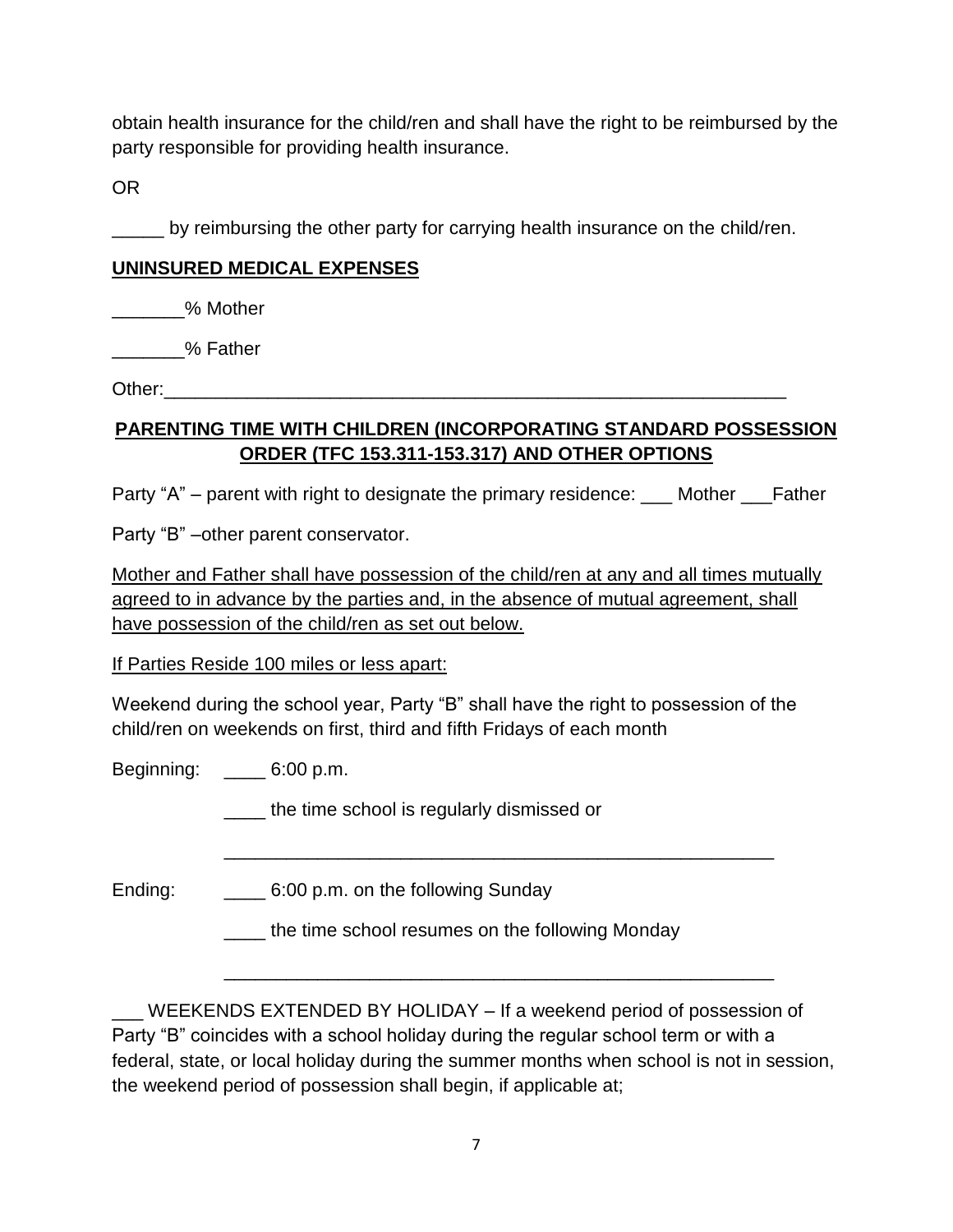obtain health insurance for the child/ren and shall have the right to be reimbursed by the party responsible for providing health insurance.

OR

\_\_\_\_\_ by reimbursing the other party for carrying health insurance on the child/ren.

### **UNINSURED MEDICAL EXPENSES**

\_\_\_\_\_\_\_% Mother

\_\_\_\_\_\_\_% Father

Other:

### **PARENTING TIME WITH CHILDREN (INCORPORATING STANDARD POSSESSION ORDER (TFC 153.311-153.317) AND OTHER OPTIONS**

Party "A" – parent with right to designate the primary residence: \_\_\_ Mother \_\_\_Father

Party "B" –other parent conservator.

Mother and Father shall have possession of the child/ren at any and all times mutually agreed to in advance by the parties and, in the absence of mutual agreement, shall have possession of the child/ren as set out below.

If Parties Reside 100 miles or less apart:

Weekend during the school year, Party "B" shall have the right to possession of the child/ren on weekends on first, third and fifth Fridays of each month

Beginning: \_\_\_\_ 6:00 p.m.

\_\_\_\_ the time school is regularly dismissed or

Ending: \_\_\_\_\_\_\_\_\_\_ 6:00 p.m. on the following Sunday

the time school resumes on the following Monday

\_\_\_\_\_\_\_\_\_\_\_\_\_\_\_\_\_\_\_\_\_\_\_\_\_\_\_\_\_\_\_\_\_\_\_\_\_\_\_\_\_\_\_\_\_\_\_\_\_\_\_\_\_

\_\_\_\_\_\_\_\_\_\_\_\_\_\_\_\_\_\_\_\_\_\_\_\_\_\_\_\_\_\_\_\_\_\_\_\_\_\_\_\_\_\_\_\_\_\_\_\_\_\_\_\_\_

WEEKENDS EXTENDED BY HOLIDAY – If a weekend period of possession of Party "B" coincides with a school holiday during the regular school term or with a federal, state, or local holiday during the summer months when school is not in session, the weekend period of possession shall begin, if applicable at;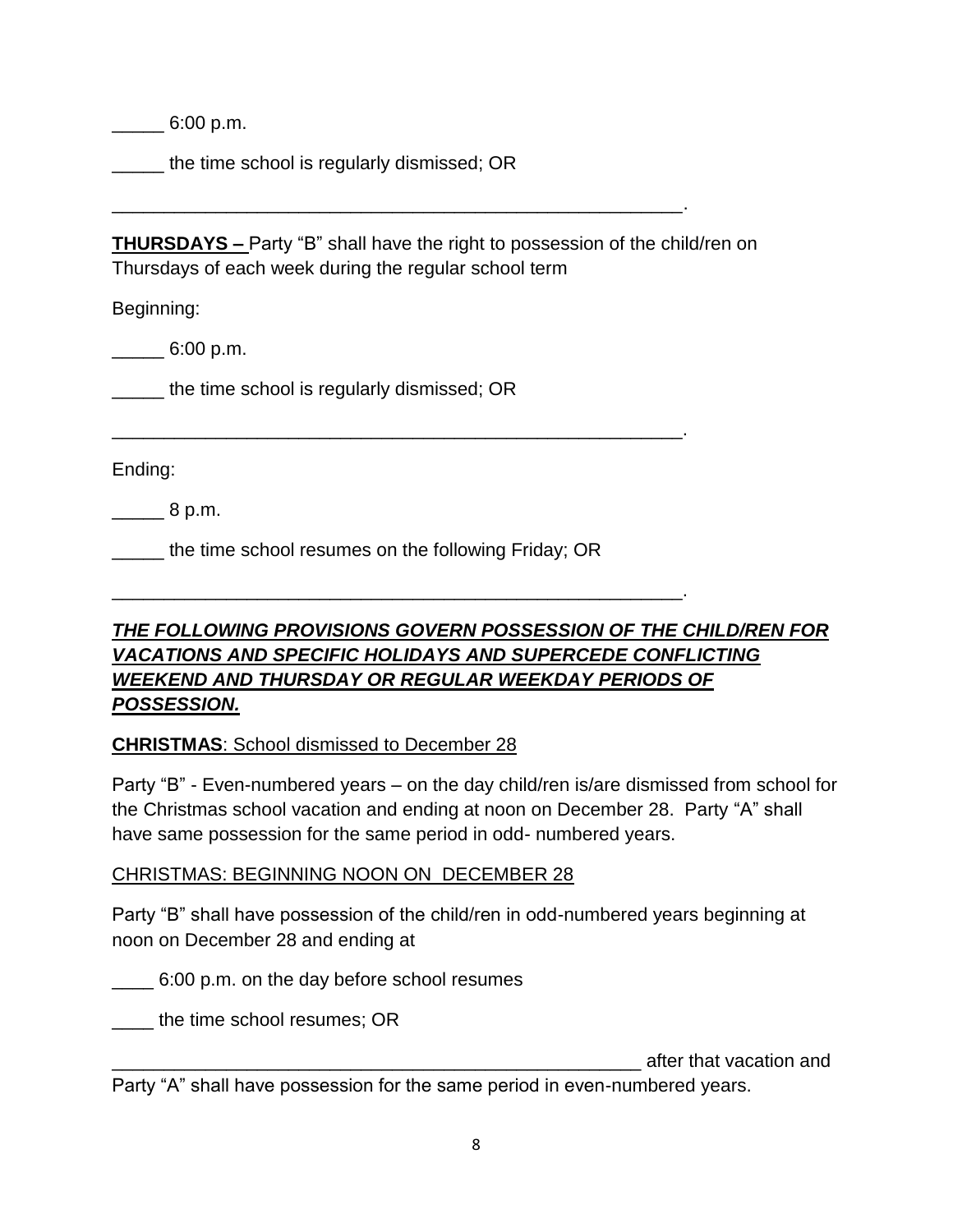$\frac{6:00 \text{ p.m.}}{2}$ 

the time school is regularly dismissed; OR

**THURSDAYS –** Party "B" shall have the right to possession of the child/ren on Thursdays of each week during the regular school term

\_\_\_\_\_\_\_\_\_\_\_\_\_\_\_\_\_\_\_\_\_\_\_\_\_\_\_\_\_\_\_\_\_\_\_\_\_\_\_\_\_\_\_\_\_\_\_\_\_\_\_\_\_\_\_.

\_\_\_\_\_\_\_\_\_\_\_\_\_\_\_\_\_\_\_\_\_\_\_\_\_\_\_\_\_\_\_\_\_\_\_\_\_\_\_\_\_\_\_\_\_\_\_\_\_\_\_\_\_\_\_.

\_\_\_\_\_\_\_\_\_\_\_\_\_\_\_\_\_\_\_\_\_\_\_\_\_\_\_\_\_\_\_\_\_\_\_\_\_\_\_\_\_\_\_\_\_\_\_\_\_\_\_\_\_\_\_.

Beginning:

 $\frac{1}{2}$  6:00 p.m.

\_\_\_\_\_ the time school is regularly dismissed; OR

Ending:

 $8 \text{ p.m.}$ 

the time school resumes on the following Friday; OR

## *THE FOLLOWING PROVISIONS GOVERN POSSESSION OF THE CHILD/REN FOR VACATIONS AND SPECIFIC HOLIDAYS AND SUPERCEDE CONFLICTING WEEKEND AND THURSDAY OR REGULAR WEEKDAY PERIODS OF POSSESSION.*

#### **CHRISTMAS**: School dismissed to December 28

Party "B" - Even-numbered years – on the day child/ren is/are dismissed from school for the Christmas school vacation and ending at noon on December 28. Party "A" shall have same possession for the same period in odd- numbered years.

#### CHRISTMAS: BEGINNING NOON ON DECEMBER 28

Party "B" shall have possession of the child/ren in odd-numbered years beginning at noon on December 28 and ending at

\_\_\_\_ 6:00 p.m. on the day before school resumes

the time school resumes; OR

\_\_\_\_\_\_\_\_\_\_\_\_\_\_\_\_\_\_\_\_\_\_\_\_\_\_\_\_\_\_\_\_\_\_\_\_\_\_\_\_\_\_\_\_\_\_\_\_\_\_\_ after that vacation and

Party "A" shall have possession for the same period in even-numbered years.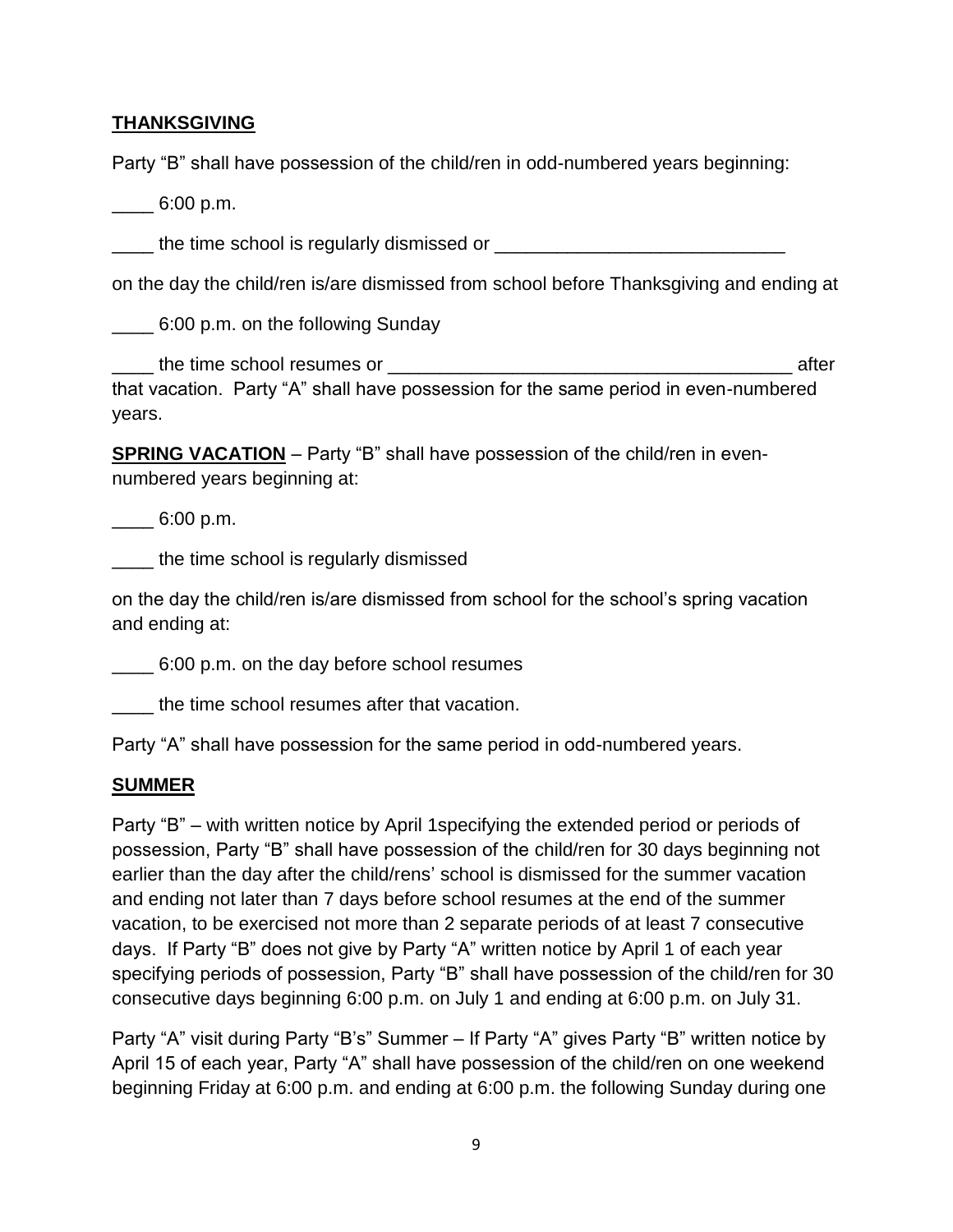#### **THANKSGIVING**

Party "B" shall have possession of the child/ren in odd-numbered years beginning:

 $\frac{6:00 \text{ p.m.}}{2}$ 

\_\_\_\_ the time school is regularly dismissed or \_\_\_\_\_\_\_\_\_\_\_\_\_\_\_\_\_\_\_\_\_\_\_\_\_\_\_\_

on the day the child/ren is/are dismissed from school before Thanksgiving and ending at

\_\_\_\_ 6:00 p.m. on the following Sunday

\_\_\_\_ the time school resumes or \_\_\_\_\_\_\_\_\_\_\_\_\_\_\_\_\_\_\_\_\_\_\_\_\_\_\_\_\_\_\_\_\_\_\_\_\_\_\_ after that vacation. Party "A" shall have possession for the same period in even-numbered years.

**SPRING VACATION** – Party "B" shall have possession of the child/ren in evennumbered years beginning at:

 $\frac{6:00 \text{ p.m.}}{2}$ 

\_\_\_\_ the time school is regularly dismissed

on the day the child/ren is/are dismissed from school for the school's spring vacation and ending at:

\_\_\_\_ 6:00 p.m. on the day before school resumes

\_\_\_\_ the time school resumes after that vacation.

Party "A" shall have possession for the same period in odd-numbered years.

#### **SUMMER**

Party "B" – with written notice by April 1specifying the extended period or periods of possession, Party "B" shall have possession of the child/ren for 30 days beginning not earlier than the day after the child/rens' school is dismissed for the summer vacation and ending not later than 7 days before school resumes at the end of the summer vacation, to be exercised not more than 2 separate periods of at least 7 consecutive days. If Party "B" does not give by Party "A" written notice by April 1 of each year specifying periods of possession, Party "B" shall have possession of the child/ren for 30 consecutive days beginning 6:00 p.m. on July 1 and ending at 6:00 p.m. on July 31.

Party "A" visit during Party "B's" Summer – If Party "A" gives Party "B" written notice by April 15 of each year, Party "A" shall have possession of the child/ren on one weekend beginning Friday at 6:00 p.m. and ending at 6:00 p.m. the following Sunday during one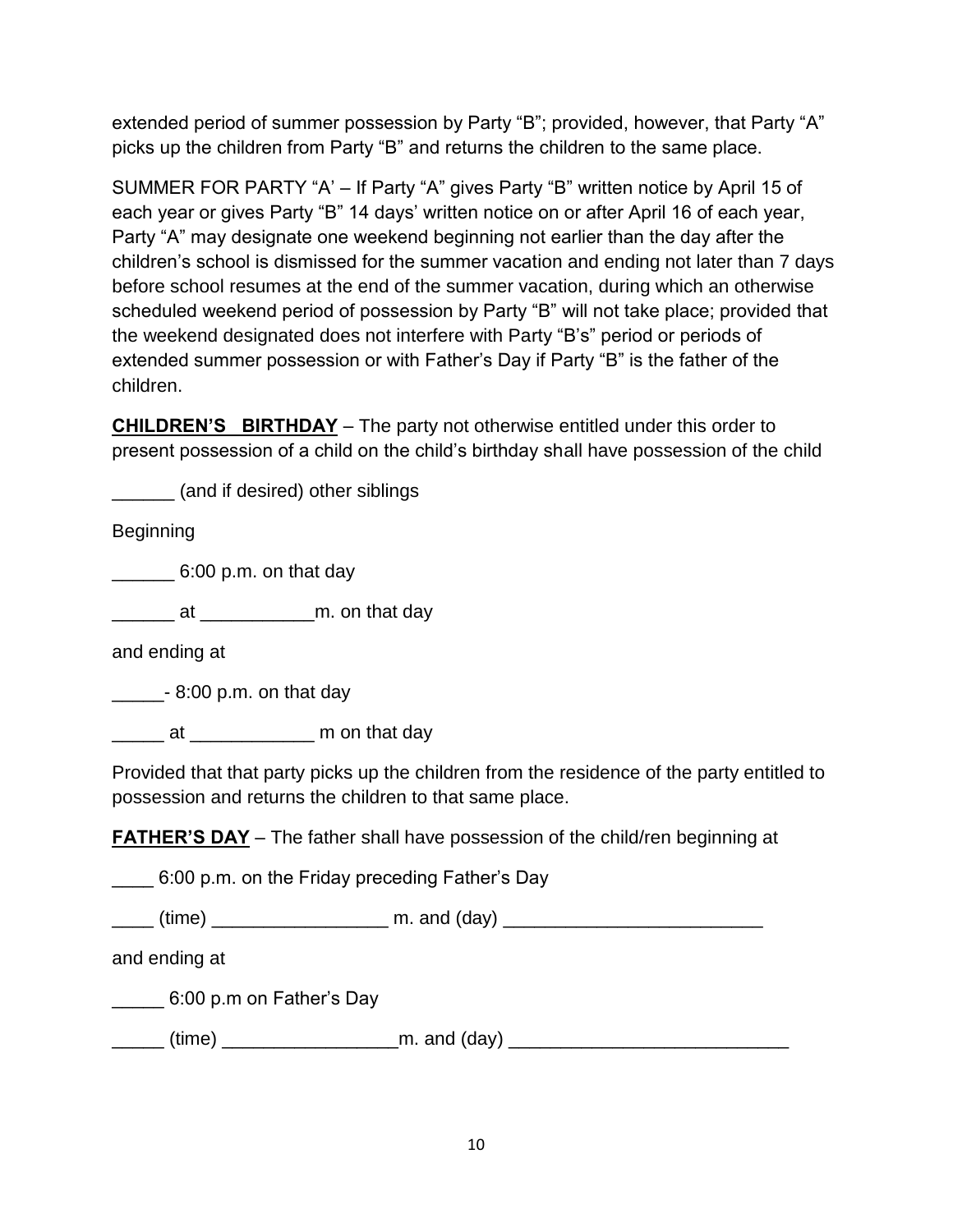extended period of summer possession by Party "B"; provided, however, that Party "A" picks up the children from Party "B" and returns the children to the same place.

SUMMER FOR PARTY "A' – If Party "A" gives Party "B" written notice by April 15 of each year or gives Party "B" 14 days' written notice on or after April 16 of each year, Party "A" may designate one weekend beginning not earlier than the day after the children's school is dismissed for the summer vacation and ending not later than 7 days before school resumes at the end of the summer vacation, during which an otherwise scheduled weekend period of possession by Party "B" will not take place; provided that the weekend designated does not interfere with Party "B's" period or periods of extended summer possession or with Father's Day if Party "B" is the father of the children.

**CHILDREN'S BIRTHDAY** – The party not otherwise entitled under this order to present possession of a child on the child's birthday shall have possession of the child

\_\_\_\_\_\_ (and if desired) other siblings

Beginning

 $\frac{1}{2}$  6:00 p.m. on that day

\_\_\_\_\_\_ at \_\_\_\_\_\_\_\_\_\_\_m. on that day

and ending at

 $\frac{1}{2}$  - 8:00 p.m. on that day

\_\_\_\_\_\_ at \_\_\_\_\_\_\_\_\_\_\_\_\_ m on that day

Provided that that party picks up the children from the residence of the party entitled to possession and returns the children to that same place.

**FATHER'S DAY** – The father shall have possession of the child/ren beginning at

6:00 p.m. on the Friday preceding Father's Day

| 'time | m. and<br>∡ (dav` |
|-------|-------------------|
|-------|-------------------|

and ending at

\_\_\_\_\_ 6:00 p.m on Father's Day

\_\_\_\_\_ (time) \_\_\_\_\_\_\_\_\_\_\_\_\_\_\_\_\_m. and (day) \_\_\_\_\_\_\_\_\_\_\_\_\_\_\_\_\_\_\_\_\_\_\_\_\_\_\_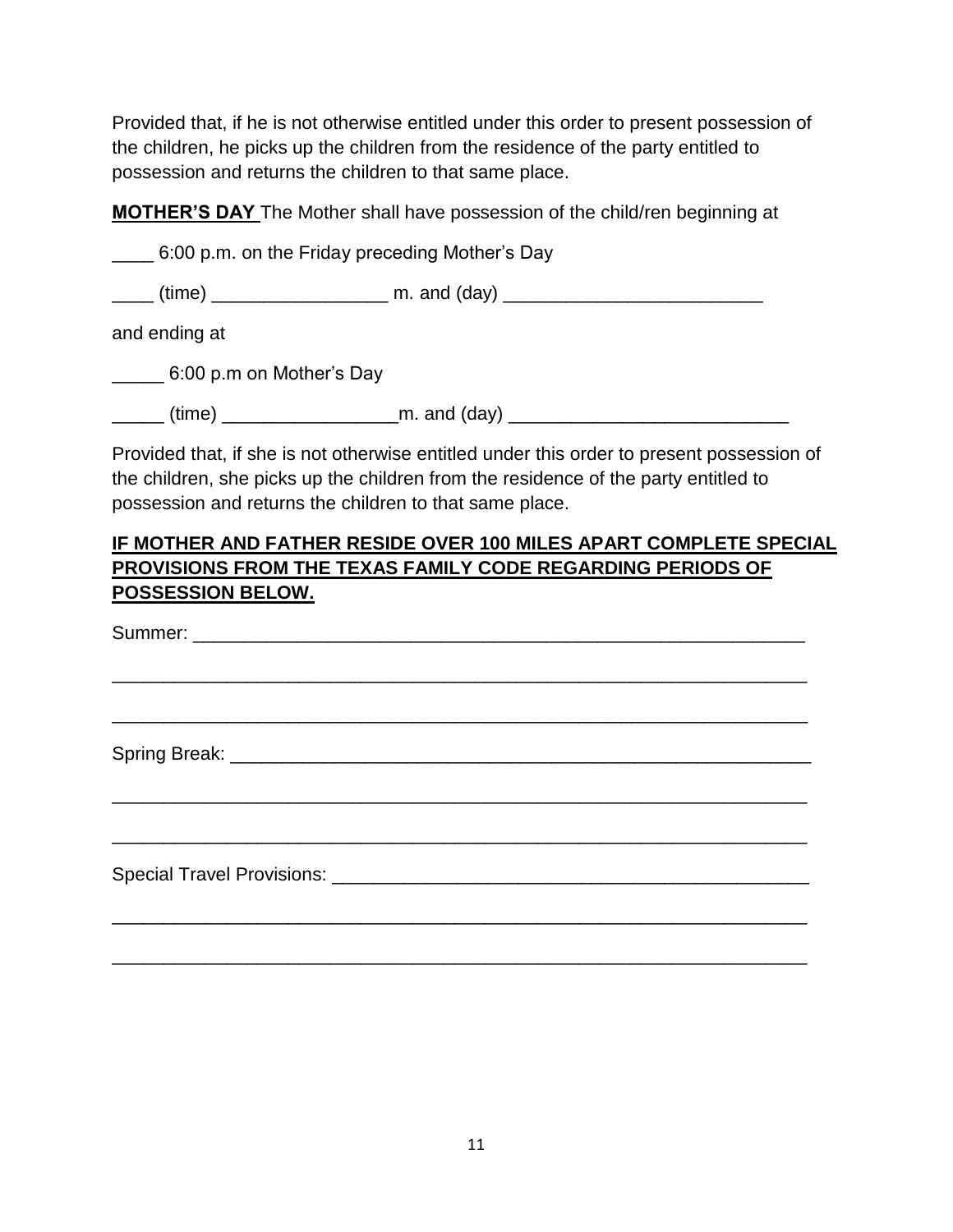Provided that, if he is not otherwise entitled under this order to present possession of the children, he picks up the children from the residence of the party entitled to possession and returns the children to that same place.

**MOTHER'S DAY** The Mother shall have possession of the child/ren beginning at

\_\_\_\_ 6:00 p.m. on the Friday preceding Mother's Day

 $\Box$  (time)  $\Box$  m. and (day)  $\Box$ 

and ending at

\_\_\_\_\_ 6:00 p.m on Mother's Day

 $(time)$  and  $(day)$  and  $(day)$ 

Provided that, if she is not otherwise entitled under this order to present possession of the children, she picks up the children from the residence of the party entitled to possession and returns the children to that same place.

### **IF MOTHER AND FATHER RESIDE OVER 100 MILES APART COMPLETE SPECIAL PROVISIONS FROM THE TEXAS FAMILY CODE REGARDING PERIODS OF POSSESSION BELOW.**

Summer: \_\_\_\_\_\_\_\_\_\_\_\_\_\_\_\_\_\_\_\_\_\_\_\_\_\_\_\_\_\_\_\_\_\_\_\_\_\_\_\_\_\_\_\_\_\_\_\_\_\_\_\_\_\_\_\_\_\_\_ \_\_\_\_\_\_\_\_\_\_\_\_\_\_\_\_\_\_\_\_\_\_\_\_\_\_\_\_\_\_\_\_\_\_\_\_\_\_\_\_\_\_\_\_\_\_\_\_\_\_\_\_\_\_\_\_\_\_\_\_\_\_\_\_\_\_\_ \_\_\_\_\_\_\_\_\_\_\_\_\_\_\_\_\_\_\_\_\_\_\_\_\_\_\_\_\_\_\_\_\_\_\_\_\_\_\_\_\_\_\_\_\_\_\_\_\_\_\_\_\_\_\_\_\_\_\_\_\_\_\_\_\_\_\_ Spring Break: \_\_\_\_\_\_\_\_\_\_\_\_\_\_\_\_\_\_\_\_\_\_\_\_\_\_\_\_\_\_\_\_\_\_\_\_\_\_\_\_\_\_\_\_\_\_\_\_\_\_\_\_\_\_\_\_ \_\_\_\_\_\_\_\_\_\_\_\_\_\_\_\_\_\_\_\_\_\_\_\_\_\_\_\_\_\_\_\_\_\_\_\_\_\_\_\_\_\_\_\_\_\_\_\_\_\_\_\_\_\_\_\_\_\_\_\_\_\_\_\_\_\_\_ \_\_\_\_\_\_\_\_\_\_\_\_\_\_\_\_\_\_\_\_\_\_\_\_\_\_\_\_\_\_\_\_\_\_\_\_\_\_\_\_\_\_\_\_\_\_\_\_\_\_\_\_\_\_\_\_\_\_\_\_\_\_\_\_\_\_\_ Special Travel Provisions: **Example 2018** \_\_\_\_\_\_\_\_\_\_\_\_\_\_\_\_\_\_\_\_\_\_\_\_\_\_\_\_\_\_\_\_\_\_\_\_\_\_\_\_\_\_\_\_\_\_\_\_\_\_\_\_\_\_\_\_\_\_\_\_\_\_\_\_\_\_\_

\_\_\_\_\_\_\_\_\_\_\_\_\_\_\_\_\_\_\_\_\_\_\_\_\_\_\_\_\_\_\_\_\_\_\_\_\_\_\_\_\_\_\_\_\_\_\_\_\_\_\_\_\_\_\_\_\_\_\_\_\_\_\_\_\_\_\_